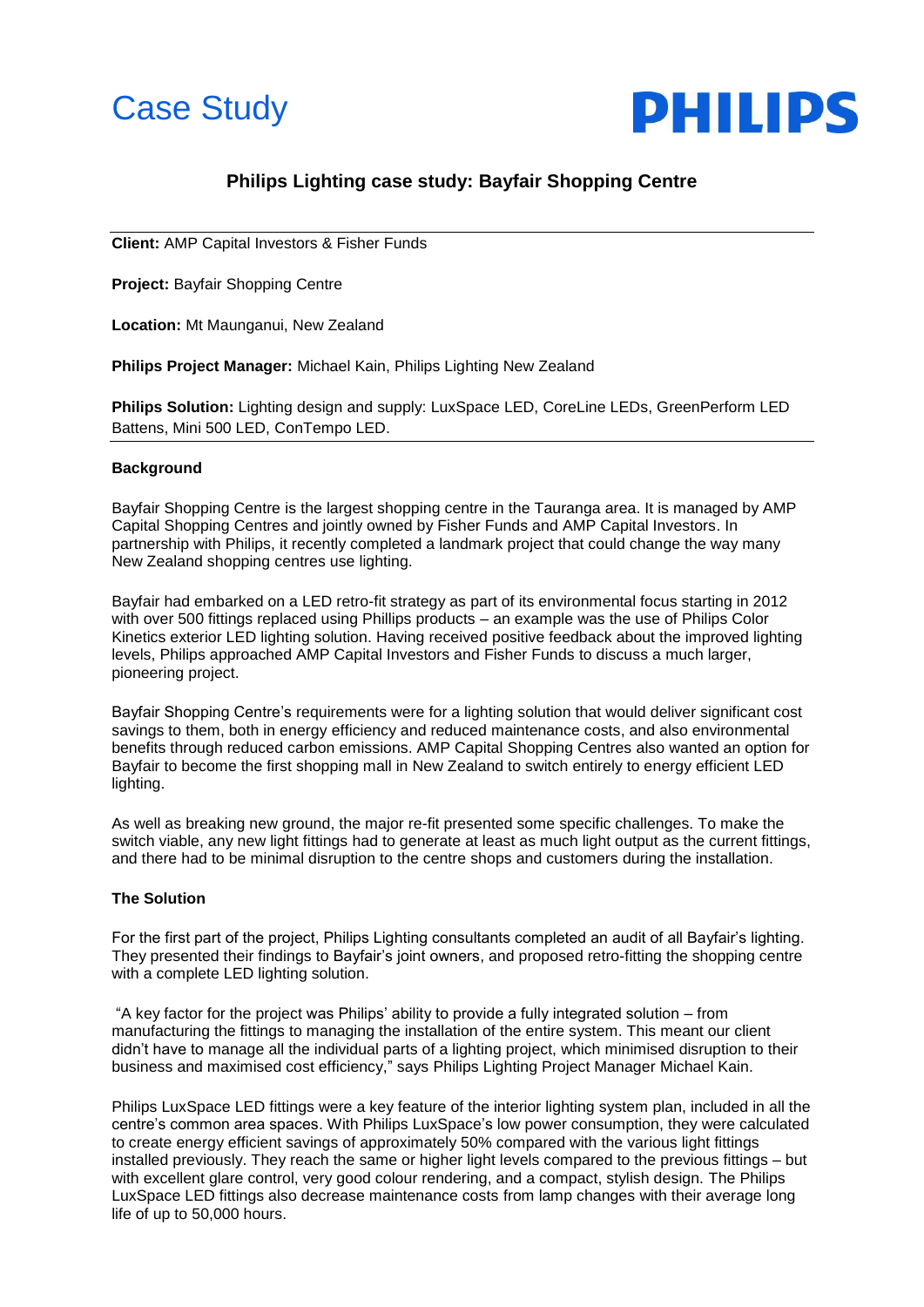



## **Philips Lighting case study: Bayfair Shopping Centre**

**Client:** AMP Capital Investors & Fisher Funds

**Project:** Bayfair Shopping Centre

**Location:** Mt Maunganui, New Zealand

**Philips Project Manager:** Michael Kain, Philips Lighting New Zealand

**Philips Solution:** Lighting design and supply: LuxSpace LED, CoreLine LEDs, GreenPerform LED Battens, Mini 500 LED, ConTempo LED.

## **Background**

Bayfair Shopping Centre is the largest shopping centre in the Tauranga area. It is managed by AMP Capital Shopping Centres and jointly owned by Fisher Funds and AMP Capital Investors. In partnership with Philips, it recently completed a landmark project that could change the way many New Zealand shopping centres use lighting.

Bayfair had embarked on a LED retro-fit strategy as part of its environmental focus starting in 2012 with over 500 fittings replaced using Phillips products – an example was the use of Philips Color Kinetics exterior LED lighting solution. Having received positive feedback about the improved lighting levels, Philips approached AMP Capital Investors and Fisher Funds to discuss a much larger, pioneering project.

Bayfair Shopping Centre's requirements were for a lighting solution that would deliver significant cost savings to them, both in energy efficiency and reduced maintenance costs, and also environmental benefits through reduced carbon emissions. AMP Capital Shopping Centres also wanted an option for Bayfair to become the first shopping mall in New Zealand to switch entirely to energy efficient LED lighting.

As well as breaking new ground, the major re-fit presented some specific challenges. To make the switch viable, any new light fittings had to generate at least as much light output as the current fittings, and there had to be minimal disruption to the centre shops and customers during the installation.

## **The Solution**

For the first part of the project, Philips Lighting consultants completed an audit of all Bayfair's lighting. They presented their findings to Bayfair's joint owners, and proposed retro-fitting the shopping centre with a complete LED lighting solution.

"A key factor for the project was Philips' ability to provide a fully integrated solution – from manufacturing the fittings to managing the installation of the entire system. This meant our client didn't have to manage all the individual parts of a lighting project, which minimised disruption to their business and maximised cost efficiency," says Philips Lighting Project Manager Michael Kain.

Philips LuxSpace LED fittings were a key feature of the interior lighting system plan, included in all the centre's common area spaces. With Philips LuxSpace's low power consumption, they were calculated to create energy efficient savings of approximately 50% compared with the various light fittings installed previously. They reach the same or higher light levels compared to the previous fittings – but with excellent glare control, very good colour rendering, and a compact, stylish design. The Philips LuxSpace LED fittings also decrease maintenance costs from lamp changes with their average long life of up to 50,000 hours.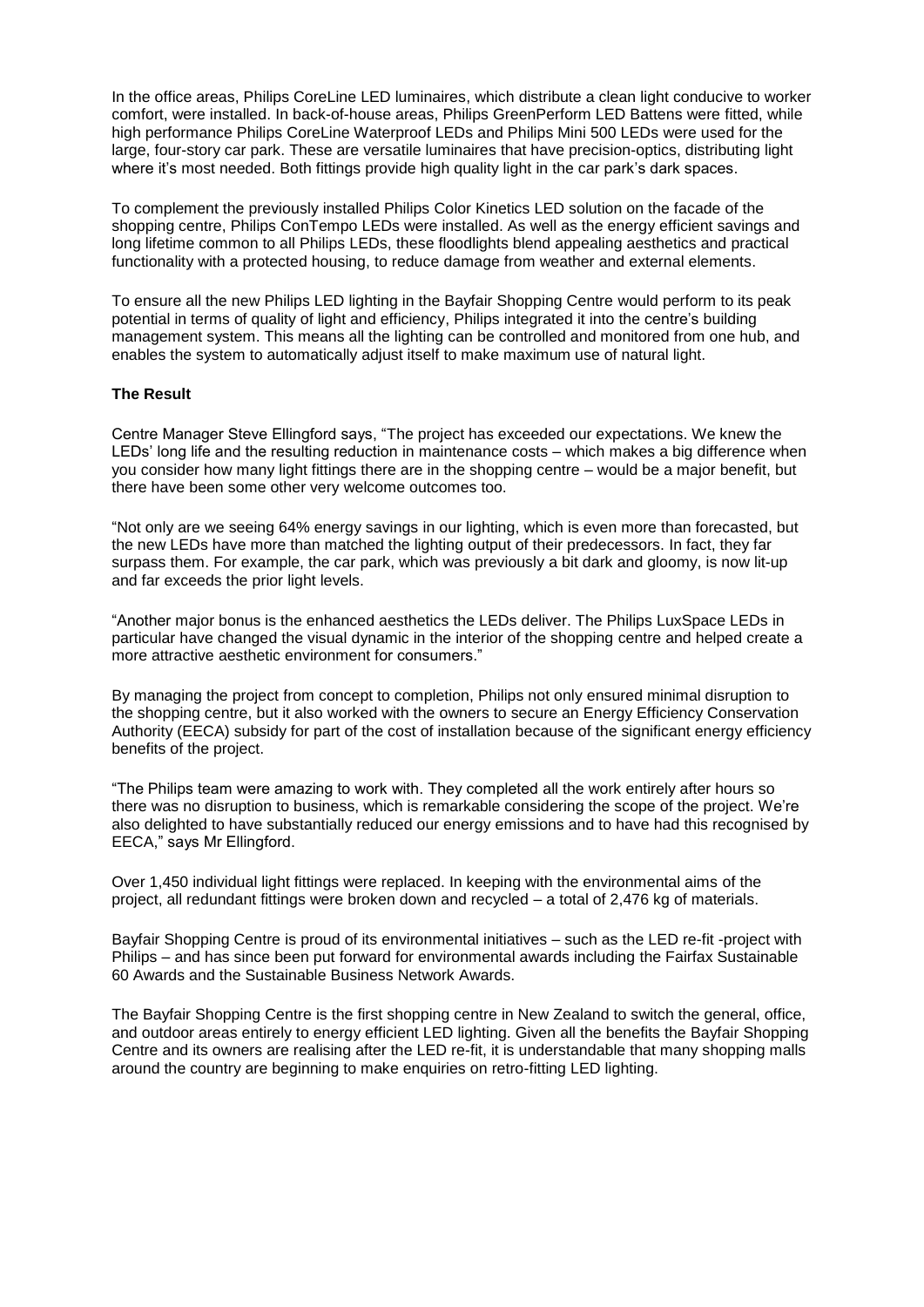In the office areas, Philips CoreLine LED luminaires, which distribute a clean light conducive to worker comfort, were installed. In back-of-house areas, Philips GreenPerform LED Battens were fitted, while high performance Philips CoreLine Waterproof LEDs and Philips Mini 500 LEDs were used for the large, four-story car park. These are versatile luminaires that have precision-optics, distributing light where it's most needed. Both fittings provide high quality light in the car park's dark spaces.

To complement the previously installed Philips Color Kinetics LED solution on the facade of the shopping centre, Philips ConTempo LEDs were installed. As well as the energy efficient savings and long lifetime common to all Philips LEDs, these floodlights blend appealing aesthetics and practical functionality with a protected housing, to reduce damage from weather and external elements.

To ensure all the new Philips LED lighting in the Bayfair Shopping Centre would perform to its peak potential in terms of quality of light and efficiency, Philips integrated it into the centre's building management system. This means all the lighting can be controlled and monitored from one hub, and enables the system to automatically adjust itself to make maximum use of natural light.

## **The Result**

Centre Manager Steve Ellingford says, "The project has exceeded our expectations. We knew the LEDs' long life and the resulting reduction in maintenance costs – which makes a big difference when you consider how many light fittings there are in the shopping centre – would be a major benefit, but there have been some other very welcome outcomes too.

"Not only are we seeing 64% energy savings in our lighting, which is even more than forecasted, but the new LEDs have more than matched the lighting output of their predecessors. In fact, they far surpass them. For example, the car park, which was previously a bit dark and gloomy, is now lit-up and far exceeds the prior light levels.

"Another major bonus is the enhanced aesthetics the LEDs deliver. The Philips LuxSpace LEDs in particular have changed the visual dynamic in the interior of the shopping centre and helped create a more attractive aesthetic environment for consumers."

By managing the project from concept to completion, Philips not only ensured minimal disruption to the shopping centre, but it also worked with the owners to secure an Energy Efficiency Conservation Authority (EECA) subsidy for part of the cost of installation because of the significant energy efficiency benefits of the project.

"The Philips team were amazing to work with. They completed all the work entirely after hours so there was no disruption to business, which is remarkable considering the scope of the project. We're also delighted to have substantially reduced our energy emissions and to have had this recognised by EECA," says Mr Ellingford.

Over 1,450 individual light fittings were replaced. In keeping with the environmental aims of the project, all redundant fittings were broken down and recycled – a total of 2,476 kg of materials.

Bayfair Shopping Centre is proud of its environmental initiatives – such as the LED re-fit -project with Philips – and has since been put forward for environmental awards including the Fairfax Sustainable 60 Awards and the Sustainable Business Network Awards.

The Bayfair Shopping Centre is the first shopping centre in New Zealand to switch the general, office, and outdoor areas entirely to energy efficient LED lighting. Given all the benefits the Bayfair Shopping Centre and its owners are realising after the LED re-fit, it is understandable that many shopping malls around the country are beginning to make enquiries on retro-fitting LED lighting.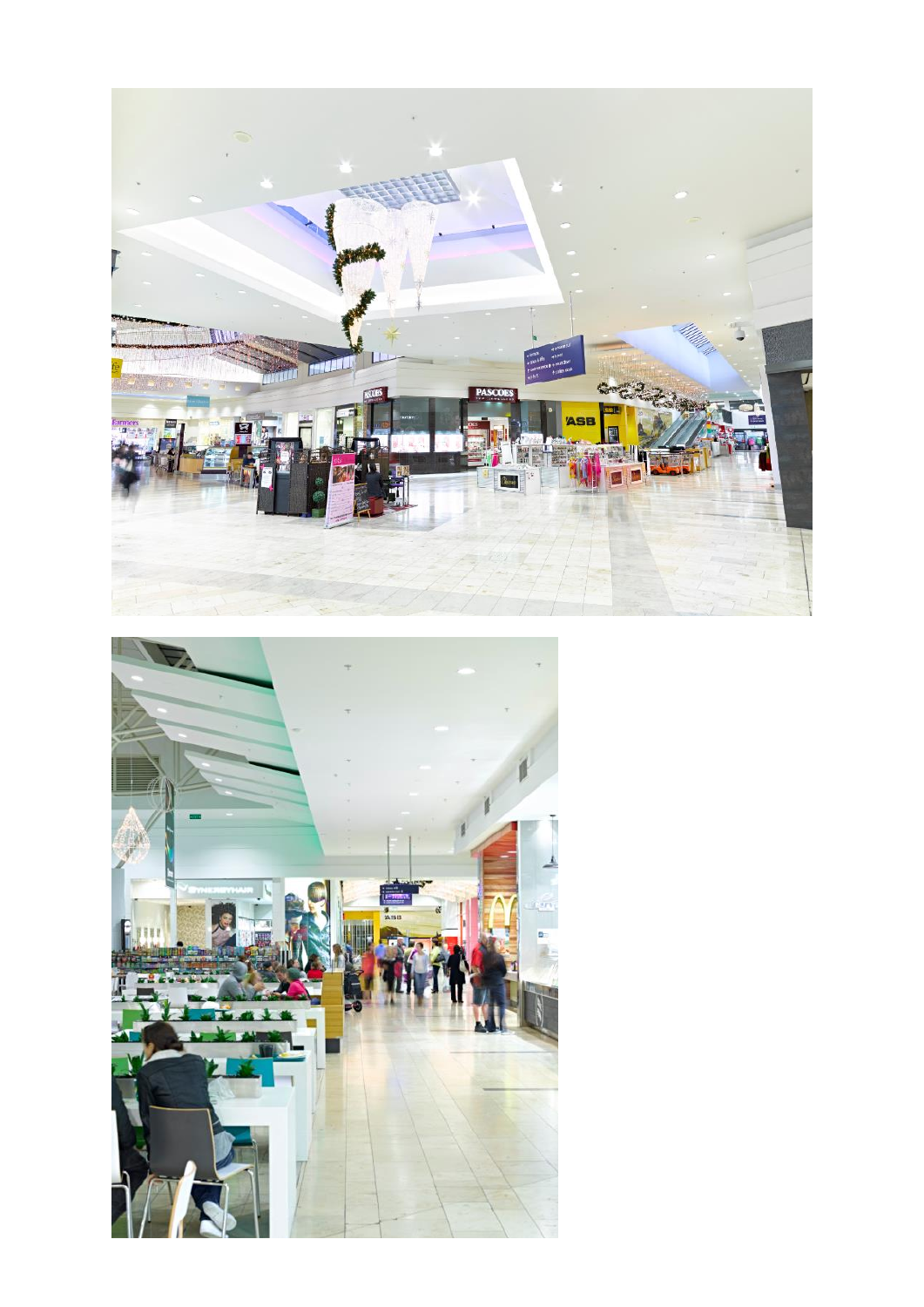